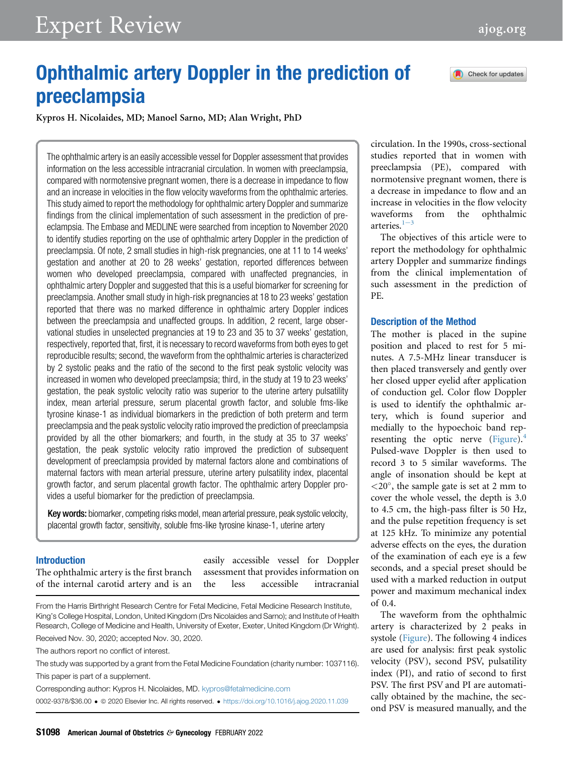# Expert Review [ajog.org](http://www.AJOG.org)

Check for updates

# Ophthalmic artery Doppler in the prediction of preeclampsia

Kypros H. Nicolaides, MD; Manoel Sarno, MD; Alan Wright, PhD

The ophthalmic artery is an easily accessible vessel for Doppler assessment that provides information on the less accessible intracranial circulation. In women with preeclampsia, compared with normotensive pregnant women, there is a decrease in impedance to flow and an increase in velocities in the flow velocity waveforms from the ophthalmic arteries. This study aimed to report the methodology for ophthalmic artery Doppler and summarize findings from the clinical implementation of such assessment in the prediction of preeclampsia. The Embase and MEDLINE were searched from inception to November 2020 to identify studies reporting on the use of ophthalmic artery Doppler in the prediction of preeclampsia. Of note, 2 small studies in high-risk pregnancies, one at 11 to 14 weeks' gestation and another at 20 to 28 weeks' gestation, reported differences between women who developed preeclampsia, compared with unaffected pregnancies, in ophthalmic artery Doppler and suggested that this is a useful biomarker for screening for preeclampsia. Another small study in high-risk pregnancies at 18 to 23 weeks' gestation reported that there was no marked difference in ophthalmic artery Doppler indices between the preeclampsia and unaffected groups. In addition, 2 recent, large observational studies in unselected pregnancies at 19 to 23 and 35 to 37 weeks' gestation, respectively, reported that, first, it is necessary to record waveforms from both eyes to get reproducible results; second, the waveform from the ophthalmic arteries is characterized by 2 systolic peaks and the ratio of the second to the first peak systolic velocity was increased in women who developed preeclampsia; third, in the study at 19 to 23 weeks' gestation, the peak systolic velocity ratio was superior to the uterine artery pulsatility index, mean arterial pressure, serum placental growth factor, and soluble fms-like tyrosine kinase-1 as individual biomarkers in the prediction of both preterm and term preeclampsia and the peak systolic velocity ratio improved the prediction of preeclampsia provided by all the other biomarkers; and fourth, in the study at 35 to 37 weeks' gestation, the peak systolic velocity ratio improved the prediction of subsequent development of preeclampsia provided by maternal factors alone and combinations of maternal factors with mean arterial pressure, uterine artery pulsatility index, placental growth factor, and serum placental growth factor. The ophthalmic artery Doppler provides a useful biomarker for the prediction of preeclampsia.

Key words: biomarker, competing risks model, mean arterial pressure, peak systolic velocity, placental growth factor, sensitivity, soluble fms-like tyrosine kinase-1, uterine artery

#### Introduction

The ophthalmic artery is the first branch of the internal carotid artery and is an

easily accessible vessel for Doppler assessment that provides information on the less accessible intracranial

From the Harris Birthright Research Centre for Fetal Medicine, Fetal Medicine Research Institute, King's College Hospital, London, United Kingdom (Drs Nicolaides and Sarno); and Institute of Health Research, College of Medicine and Health, University of Exeter, Exeter, United Kingdom (Dr Wright). Received Nov. 30, 2020; accepted Nov. 30, 2020.

The authors report no conflict of interest.

The study was supported by a grant from the Fetal Medicine Foundation (charity number: 1037116). This paper is part of a supplement.

Corresponding author: Kypros H. Nicolaides, MD. [kypros@fetalmedicine.com](mailto:kypros@fetalmedicine.com)

0002-9378/\$36.00 ª 2020 Elsevier Inc. All rights reserved. <https://doi.org/10.1016/j.ajog.2020.11.039>

circulation. In the 1990s, cross-sectional studies reported that in women with preeclampsia (PE), compared with normotensive pregnant women, there is a decrease in impedance to flow and an increase in velocities in the flow velocity waveforms from the ophthalmic art[e](#page-2-0)ries. $1-3$ 

The objectives of this article were to report the methodology for ophthalmic artery Doppler and summarize findings from the clinical implementation of such assessment in the prediction of PE.

#### Description of the Method

The mother is placed in the supine position and placed to rest for 5 minutes. A 7.5-MHz linear transducer is then placed transversely and gently over her closed upper eyelid after application of conduction gel. Color flow Doppler is used to identify the ophthalmic artery, which is found superior and medially to the hypoechoic band representing the optic nerve  $(Figure)^4$  $(Figure)^4$  $(Figure)^4$ Pulsed-wave Doppler is then used to record 3 to 5 similar waveforms. The angle of insonation should be kept at  $<$ 20 $^{\circ}$ , the sample gate is set at 2 mm to cover the whole vessel, the depth is 3.0 to 4.5 cm, the high-pass filter is 50 Hz, and the pulse repetition frequency is set at 125 kHz. To minimize any potential adverse effects on the eyes, the duration of the examination of each eye is a few seconds, and a special preset should be used with a marked reduction in output power and maximum mechanical index of 0.4.

The waveform from the ophthalmic artery is characterized by 2 peaks in systole [\(Figure](#page-1-0)). The following 4 indices are used for analysis: first peak systolic velocity (PSV), second PSV, pulsatility index (PI), and ratio of second to first PSV. The first PSV and PI are automatically obtained by the machine, the second PSV is measured manually, and the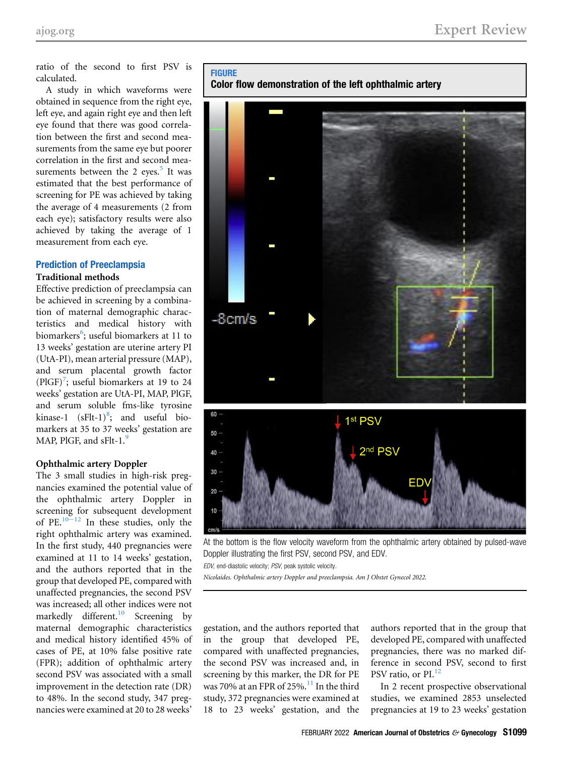ratio of the second to first PSV is calculated.

A study in which waveforms were obtained in sequence from the right eye, left eye, and again right eye and then left eye found that there was good correlation between the first and second measurements from the same eye but poorer correlation in the first and second measurements between the 2 eyes. $5$  It was estimated that the best performance of screening for PE was achieved by taking the average of 4 measurements (2 from each eye); satisfactory results were also achieved by taking the average of 1 measurement from each eye.

# Prediction of Preeclampsia

# Traditional methods

Effective prediction of preeclampsia can be achieved in screening by a combination of maternal demographic characteristics and medical history with biomarkers<sup>[6](#page-2-3)</sup>; useful biomarkers at 11 to 13 weeks' gestation are uterine artery PI (UtA-PI), mean arterial pressure (MAP), and serum placental growth factor (PlGF)<sup>[7](#page-2-4)</sup>; useful biomarkers at 19 to 24 weeks' gestation are UtA-PI, MAP, PlGF, and serum soluble fms-like tyrosine kinase-1  $(sFlt-1)^8$  $(sFlt-1)^8$ ; and useful biomarkers at 35 to 37 weeks' gestation are MAP, PlGF, and sFlt-1.<sup>[9](#page-3-0)</sup>

#### Ophthalmic artery Doppler

The 3 small studies in high-risk pregnancies examined the potential value of the ophthalmic artery Doppler in screening for subsequent development of PE. $10-12$  $10-12$  In these studies, only the right ophthalmic artery was examined. In the first study, 440 pregnancies were examined at 11 to 14 weeks' gestation, and the authors reported that in the group that developed PE, compared with unaffected pregnancies, the second PSV was increased; all other indices were not markedly different.<sup>[10](#page-3-1)</sup> Screening by maternal demographic characteristics and medical history identified 45% of cases of PE, at 10% false positive rate (FPR); addition of ophthalmic artery second PSV was associated with a small improvement in the detection rate (DR) to 48%. In the second study, 347 pregnancies were examined at 20 to 28 weeks'

<span id="page-1-0"></span>FIGURE

Color flow demonstration of the left ophthalmic artery



At the bottom is the flow velocity waveform from the ophthalmic artery obtained by pulsed-wave Doppler illustrating the first PSV, second PSV, and EDV.

EDV, end-diastolic velocity; PSV, peak systolic velocity.

Nicolaides. Ophthalmic artery Doppler and preeclampsia. Am J Obstet Gynecol 2022.

gestation, and the authors reported that in the group that developed PE, compared with unaffected pregnancies, the second PSV was increased and, in screening by this marker, the DR for PE was 70% at an FPR of 25%.<sup>[11](#page-3-2)</sup> In the third study, 372 pregnancies were examined at 18 to 23 weeks' gestation, and the

authors reported that in the group that developed PE, compared with unaffected pregnancies, there was no marked difference in second PSV, second to first PSV ratio, or PI.<sup>[12](#page-3-3)</sup>

In 2 recent prospective observational studies, we examined 2853 unselected pregnancies at 19 to 23 weeks' gestation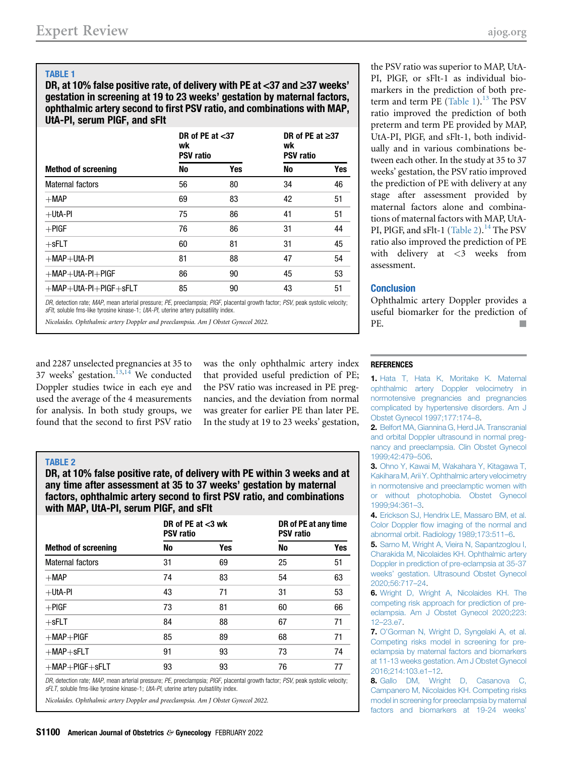# <span id="page-2-6"></span>TABLE 1

DR, at 10% false positive rate, of delivery with PE at  $<$ 37 and  $\geq$ 37 weeks' gestation in screening at 19 to 23 weeks' gestation by maternal factors, ophthalmic artery second to first PSV ratio, and combinations with MAP, UtA-PI, serum PlGF, and sFlt

| <b>Method of screening</b>           | DR of PE at $<$ 37<br>wk<br><b>PSV</b> ratio |     | DR of PE at $\geq$ 37<br>wk<br><b>PSV ratio</b> |     |
|--------------------------------------|----------------------------------------------|-----|-------------------------------------------------|-----|
|                                      | No                                           | Yes | No                                              | Yes |
| Maternal factors                     | 56                                           | 80  | 34                                              | 46  |
| $+$ Map                              | 69                                           | 83  | 42                                              | 51  |
| $+$ Uta-Pi                           | 75                                           | 86  | 41                                              | 51  |
| $+$ PIGF                             | 76                                           | 86  | 31                                              | 44  |
| $+$ sFLT                             | 60                                           | 81  | 31                                              | 45  |
| $+$ MAP $+$ UtA-PI                   | 81                                           | 88  | 47                                              | 54  |
| $+$ MAP $+$ UtA-PI $+$ PIGF          | 86                                           | 90  | 45                                              | 53  |
| $+$ MAP $+$ UtA-PI $+$ PIGF $+$ sFLT | 85                                           | 90  | 43                                              | 51  |
|                                      |                                              |     |                                                 |     |

DR, detection rate; MAP, mean arterial pressure; PE, preeclampsia; PIGF, placental growth factor; PSV, peak systolic velocity; sFlt, soluble fms-like tyrosine kinase-1; UtA-PI, uterine artery pulsatility index.

Nicolaides. Ophthalmic artery Doppler and preeclampsia. Am J Obstet Gynecol 2022.

and 2287 unselected pregnancies at 35 to 37 weeks' gestation.<sup>[13](#page-3-4)[,14](#page-3-5)</sup> We conducted Doppler studies twice in each eye and used the average of the 4 measurements for analysis. In both study groups, we found that the second to first PSV ratio

was the only ophthalmic artery index that provided useful prediction of PE; the PSV ratio was increased in PE pregnancies, and the deviation from normal was greater for earlier PE than later PE. In the study at 19 to 23 weeks' gestation,

## <span id="page-2-7"></span>TABLE 2

DR, at 10% false positive rate, of delivery with PE within 3 weeks and at any time after assessment at 35 to 37 weeks' gestation by maternal factors, ophthalmic artery second to first PSV ratio, and combinations with MAP, UtA-PI, serum PlGF, and sFlt

| <b>Method of screening</b> | DR of PE at $<$ 3 wk<br><b>PSV ratio</b> |     | DR of PE at any time<br><b>PSV ratio</b> |     |
|----------------------------|------------------------------------------|-----|------------------------------------------|-----|
|                            | No                                       | Yes | No                                       | Yes |
| Maternal factors           | 31                                       | 69  | 25                                       | 51  |
| $+MAP$                     | 74                                       | 83  | 54                                       | 63  |
| $+$ Uta-Pi                 | 43                                       | 71  | 31                                       | 53  |
| $+$ PIGF                   | 73                                       | 81  | 60                                       | 66  |
| $+$ sFLT                   | 84                                       | 88  | 67                                       | 71  |
| $+MAP + PIGF$              | 85                                       | 89  | 68                                       | 71  |
| $+MAP + sFLT$              | 91                                       | 93  | 73                                       | 74  |
| $+MAP + PIGF + sFLT$       | 93                                       | 93  | 76                                       | 77  |

DR, detection rate; MAP, mean arterial pressure; PE, preeclampsia; PIGF, placental growth factor; PSV, peak systolic velocity; sFLT, soluble fms-like tyrosine kinase-1; UtA-PI, uterine artery pulsatility index.

Nicolaides. Ophthalmic artery Doppler and preeclampsia. Am J Obstet Gynecol 2022.

the PSV ratio was superior to MAP, UtA-PI, PlGF, or sFlt-1 as individual biomarkers in the prediction of both pre-term and term PE ([Table 1\)](#page-2-6). $^{13}$  $^{13}$  $^{13}$  The PSV ratio improved the prediction of both preterm and term PE provided by MAP, UtA-PI, PlGF, and sFlt-1, both individually and in various combinations between each other. In the study at 35 to 37 weeks' gestation, the PSV ratio improved the prediction of PE with delivery at any stage after assessment provided by maternal factors alone and combinations of maternal factors with MAP, UtA-PI, PlGF, and sFlt-1 [\(Table 2](#page-2-7)).<sup>[14](#page-3-5)</sup> The PSV ratio also improved the prediction of PE with delivery at <3 weeks from assessment.

## **Conclusion**

Ophthalmic artery Doppler provides a useful biomarker for the prediction of PE.

## <span id="page-2-0"></span>**REFERENCES**

1. [Hata T, Hata K, Moritake K. Maternal](http://refhub.elsevier.com/S0002-9378(20)31375-2/sref1) [ophthalmic artery Doppler velocimetry in](http://refhub.elsevier.com/S0002-9378(20)31375-2/sref1) [normotensive pregnancies and pregnancies](http://refhub.elsevier.com/S0002-9378(20)31375-2/sref1) [complicated by hypertensive disorders. Am J](http://refhub.elsevier.com/S0002-9378(20)31375-2/sref1) [Obstet Gynecol 1997;177:174](http://refhub.elsevier.com/S0002-9378(20)31375-2/sref1)–8.

2. [Belfort MA, Giannina G, Herd JA. Transcranial](http://refhub.elsevier.com/S0002-9378(20)31375-2/sref2) [and orbital Doppler ultrasound in normal preg](http://refhub.elsevier.com/S0002-9378(20)31375-2/sref2)[nancy and preeclampsia. Clin Obstet Gynecol](http://refhub.elsevier.com/S0002-9378(20)31375-2/sref2) [1999;42:479](http://refhub.elsevier.com/S0002-9378(20)31375-2/sref2)–506.

3. [Ohno Y, Kawai M, Wakahara Y, Kitagawa T,](http://refhub.elsevier.com/S0002-9378(20)31375-2/sref3) [Kakihara M, Arii Y. Ophthalmic artery velocimetry](http://refhub.elsevier.com/S0002-9378(20)31375-2/sref3) [in normotensive and preeclamptic women with](http://refhub.elsevier.com/S0002-9378(20)31375-2/sref3) [or without photophobia. Obstet Gynecol](http://refhub.elsevier.com/S0002-9378(20)31375-2/sref3) [1999;94:361](http://refhub.elsevier.com/S0002-9378(20)31375-2/sref3)–3.

<span id="page-2-2"></span><span id="page-2-1"></span>4. [Erickson SJ, Hendrix LE, Massaro BM, et al.](http://refhub.elsevier.com/S0002-9378(20)31375-2/sref4) Color Doppler fl[ow imaging of the normal and](http://refhub.elsevier.com/S0002-9378(20)31375-2/sref4) [abnormal orbit. Radiology 1989;173:511](http://refhub.elsevier.com/S0002-9378(20)31375-2/sref4)–6.

5. [Sarno M, Wright A, Vieira N, Sapantzoglou I,](http://refhub.elsevier.com/S0002-9378(20)31375-2/sref5) [Charakida M, Nicolaides KH. Ophthalmic artery](http://refhub.elsevier.com/S0002-9378(20)31375-2/sref5) [Doppler in prediction of pre-eclampsia at 35-37](http://refhub.elsevier.com/S0002-9378(20)31375-2/sref5) weeks' [gestation. Ultrasound Obstet Gynecol](http://refhub.elsevier.com/S0002-9378(20)31375-2/sref5) [2020;56:717](http://refhub.elsevier.com/S0002-9378(20)31375-2/sref5)–24.

<span id="page-2-3"></span>6. [Wright D, Wright A, Nicolaides KH. The](http://refhub.elsevier.com/S0002-9378(20)31375-2/sref6) [competing risk approach for prediction of pre](http://refhub.elsevier.com/S0002-9378(20)31375-2/sref6)[eclampsia. Am J Obstet Gynecol 2020;223:](http://refhub.elsevier.com/S0002-9378(20)31375-2/sref6) 12–[23.e7.](http://refhub.elsevier.com/S0002-9378(20)31375-2/sref6)

<span id="page-2-4"></span>7. O'[Gorman N, Wright D, Syngelaki A, et al.](http://refhub.elsevier.com/S0002-9378(20)31375-2/sref7) [Competing risks model in screening for pre](http://refhub.elsevier.com/S0002-9378(20)31375-2/sref7)[eclampsia by maternal factors and biomarkers](http://refhub.elsevier.com/S0002-9378(20)31375-2/sref7) [at 11-13 weeks gestation. Am J Obstet Gynecol](http://refhub.elsevier.com/S0002-9378(20)31375-2/sref7) [2016;214:103.e1](http://refhub.elsevier.com/S0002-9378(20)31375-2/sref7)–12.

<span id="page-2-5"></span>8. [Gallo DM, Wright D, Casanova C,](http://refhub.elsevier.com/S0002-9378(20)31375-2/sref8) [Campanero M, Nicolaides KH. Competing risks](http://refhub.elsevier.com/S0002-9378(20)31375-2/sref8) [model in screening for preeclampsia by maternal](http://refhub.elsevier.com/S0002-9378(20)31375-2/sref8) [factors and biomarkers at 19-24 weeks](http://refhub.elsevier.com/S0002-9378(20)31375-2/sref8)'